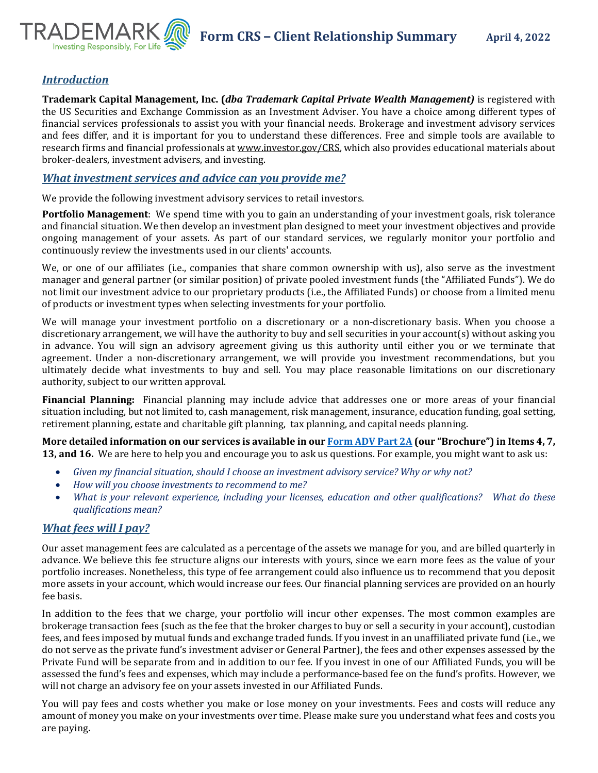

# *Introduction*

**Trademark Capital Management, Inc. (***dba Trademark Capital Private Wealth Management)* is registered with the US Securities and Exchange Commission as an Investment Adviser. You have a choice among different types of financial services professionals to assist you with your financial needs. Brokerage and investment advisory services and fees differ, and it is important for you to understand these differences. Free and simple tools are available to research firms and financial professionals a[t www.investor.gov/CRS,](http://www.investor.gov/CRS) which also provides educational materials about broker-dealers, investment advisers, and investing.

### *What investment services and advice can you provide me?*

We provide the following investment advisory services to retail investors.

**Portfolio Management**: We spend time with you to gain an understanding of your investment goals, risk tolerance and financial situation. We then develop an investment plan designed to meet your investment objectives and provide ongoing management of your assets. As part of our standard services, we regularly monitor your portfolio and continuously review the investments used in our clients' accounts.

We, or one of our affiliates (i.e., companies that share common ownership with us), also serve as the investment manager and general partner (or similar position) of private pooled investment funds (the "Affiliated Funds"). We do not limit our investment advice to our proprietary products (i.e., the Affiliated Funds) or choose from a limited menu of products or investment types when selecting investments for your portfolio.

We will manage your investment portfolio on a discretionary or a non-discretionary basis. When you choose a discretionary arrangement, we will have the authority to buy and sell securities in your account(s) without asking you in advance. You will sign an advisory agreement giving us this authority until either you or we terminate that agreement. Under a non-discretionary arrangement, we will provide you investment recommendations, but you ultimately decide what investments to buy and sell. You may place reasonable limitations on our discretionary authority, subject to our written approval.

**Financial Planning:** Financial planning may include advice that addresses one or more areas of your financial situation including, but not limited to, cash management, risk management, insurance, education funding, goal setting, retirement planning, estate and charitable gift planning, tax planning, and capital needs planning.

**More detailed information on our services is available in ou[r Form ADV Part 2A](https://adviserinfo.sec.gov/firm/summary/214512) (our "Brochure") in Items 4, 7, 13, and 16.** We are here to help you and encourage you to ask us questions. For example, you might want to ask us:

- *Given my financial situation, should I choose an investment advisory service? Why or why not?*
- *How will you choose investments to recommend to me?*
- *What is your relevant experience, including your licenses, education and other qualifications? What do these qualifications mean?*

# *What fees will I pay?*

Our asset management fees are calculated as a percentage of the assets we manage for you, and are billed quarterly in advance. We believe this fee structure aligns our interests with yours, since we earn more fees as the value of your portfolio increases. Nonetheless, this type of fee arrangement could also influence us to recommend that you deposit more assets in your account, which would increase our fees. Our financial planning services are provided on an hourly fee basis.

In addition to the fees that we charge, your portfolio will incur other expenses. The most common examples are brokerage transaction fees (such as the fee that the broker charges to buy or sell a security in your account), custodian fees, and fees imposed by mutual funds and exchange traded funds. If you invest in an unaffiliated private fund (i.e., we do not serve as the private fund's investment adviser or General Partner), the fees and other expenses assessed by the Private Fund will be separate from and in addition to our fee. If you invest in one of our Affiliated Funds, you will be assessed the fund's fees and expenses, which may include a performance-based fee on the fund's profits. However, we will not charge an advisory fee on your assets invested in our Affiliated Funds.

You will pay fees and costs whether you make or lose money on your investments. Fees and costs will reduce any amount of money you make on your investments over time. Please make sure you understand what fees and costs you are paying**.**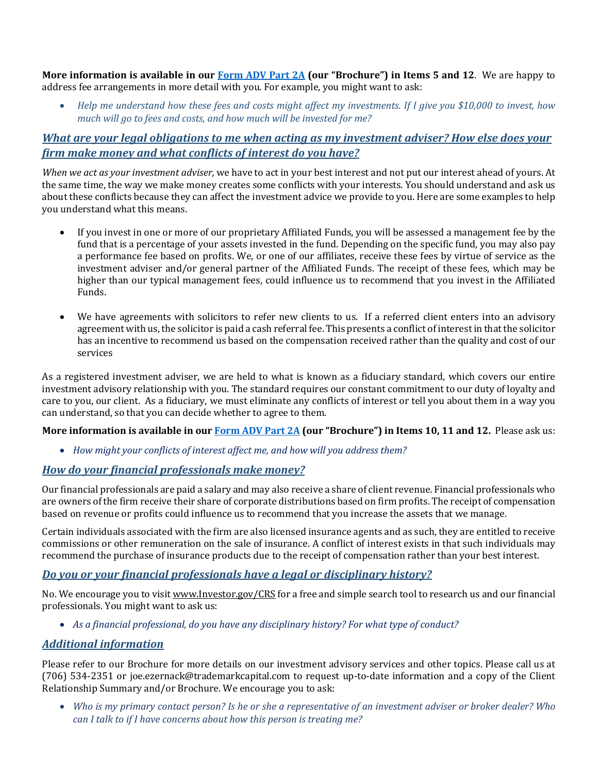**More information is available in our [Form ADV Part 2A](https://adviserinfo.sec.gov/firm/summary/214512) (our "Brochure") in Items 5 and 12**. We are happy to address fee arrangements in more detail with you. For example, you might want to ask:

• *Help me understand how these fees and costs might affect my investments. If I give you \$10,000 to invest, how much will go to fees and costs, and how much will be invested for me?*

# *What are your legal obligations to me when acting as my investment adviser? How else does your firm make money and what conflicts of interest do you have?*

*When we act as your investment adviser,* we have to act in your best interest and not put our interest ahead of yours. At the same time, the way we make money creates some conflicts with your interests. You should understand and ask us about these conflicts because they can affect the investment advice we provide to you. Here are some examples to help you understand what this means.

- If you invest in one or more of our proprietary Affiliated Funds, you will be assessed a management fee by the fund that is a percentage of your assets invested in the fund. Depending on the specific fund, you may also pay a performance fee based on profits. We, or one of our affiliates, receive these fees by virtue of service as the investment adviser and/or general partner of the Affiliated Funds. The receipt of these fees, which may be higher than our typical management fees, could influence us to recommend that you invest in the Affiliated Funds.
- We have agreements with solicitors to refer new clients to us. If a referred client enters into an advisory agreement with us, the solicitor is paid a cash referral fee. This presents a conflict of interest in that the solicitor has an incentive to recommend us based on the compensation received rather than the quality and cost of our services

As a registered investment adviser, we are held to what is known as a fiduciary standard, which covers our entire investment advisory relationship with you. The standard requires our constant commitment to our duty of loyalty and care to you, our client. As a fiduciary, we must eliminate any conflicts of interest or tell you about them in a way you can understand, so that you can decide whether to agree to them.

#### **More information is available in our [Form ADV Part 2A](https://adviserinfo.sec.gov/firm/summary/214512) (our "Brochure") in Items 10, 11 and 12.** Please ask us:

• *How might your conflicts of interest affect me, and how will you address them?*

### *How do your financial professionals make money?*

Our financial professionals are paid a salary and may also receive a share of client revenue. Financial professionals who are owners of the firm receive their share of corporate distributions based on firm profits. The receipt of compensation based on revenue or profits could influence us to recommend that you increase the assets that we manage.

Certain individuals associated with the firm are also licensed insurance agents and as such, they are entitled to receive commissions or other remuneration on the sale of insurance. A conflict of interest exists in that such individuals may recommend the purchase of insurance products due to the receipt of compensation rather than your best interest.

# *Do you or your financial professionals have a legal or disciplinary history?*

No. We encourage you to visi[t www.Investor.gov/CRS](http://www.investor.gov/CRS) for a free and simple search tool to research us and our financial professionals. You might want to ask us:

• *As a financial professional, do you have any disciplinary history? For what type of conduct?* 

### *Additional information*

Please refer to our Brochure for more details on our investment advisory services and other topics. Please call us at (706) 534-2351 or joe.ezernack@trademarkcapital.com to request up-to-date information and a copy of the Client Relationship Summary and/or Brochure. We encourage you to ask:

• *Who is my primary contact person? Is he or she a representative of an investment adviser or broker dealer? Who can I talk to if I have concerns about how this person is treating me?*